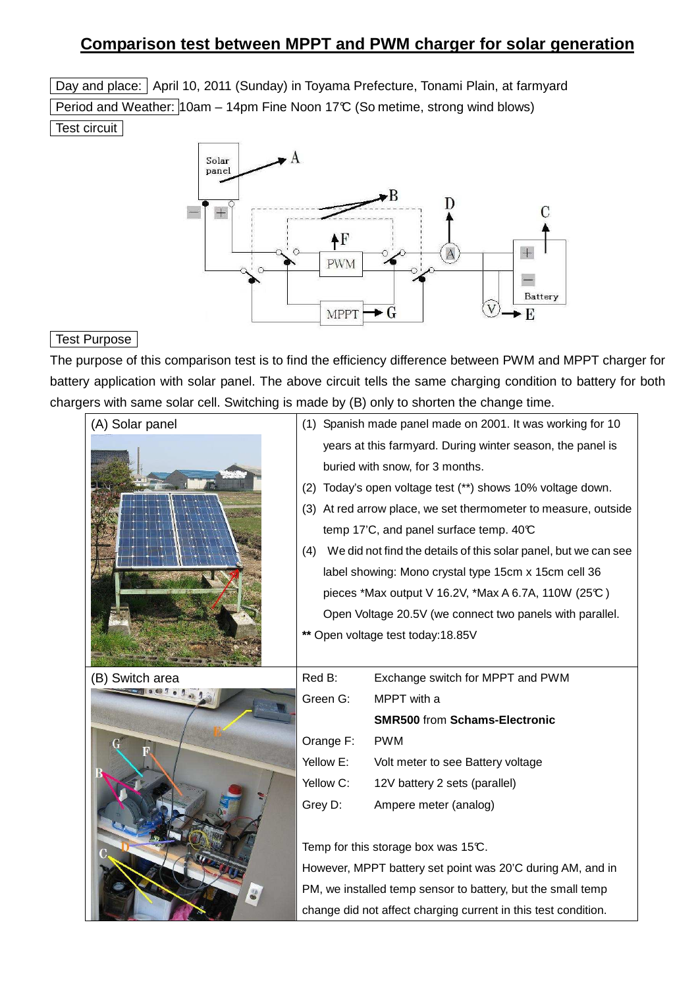# **Comparison test between MPPT and PWM charger for solar generation**

Day and place: April 10, 2011 (Sunday) in Toyama Prefecture, Tonami Plain, at farmyard Period and Weather: 10am – 14pm Fine Noon 17°C (So metime, strong wind blows) Test circuit



#### Test Purpose

The purpose of this comparison test is to find the efficiency difference between PWM and MPPT charger for battery application with solar panel. The above circuit tells the same charging condition to battery for both chargers with same solar cell. Switching is made by (B) only to shorten the change time.

| (A) Solar panel |                                                                        | (1) Spanish made panel made on 2001. It was working for 10       |  |  |  |  |  |
|-----------------|------------------------------------------------------------------------|------------------------------------------------------------------|--|--|--|--|--|
|                 | years at this farmyard. During winter season, the panel is             |                                                                  |  |  |  |  |  |
|                 |                                                                        | buried with snow, for 3 months.                                  |  |  |  |  |  |
|                 | Today's open voltage test (**) shows 10% voltage down.<br>(2)          |                                                                  |  |  |  |  |  |
|                 | (3) At red arrow place, we set thermometer to measure, outside         |                                                                  |  |  |  |  |  |
|                 |                                                                        | temp 17'C, and panel surface temp. 40°C                          |  |  |  |  |  |
|                 | We did not find the details of this solar panel, but we can see<br>(4) |                                                                  |  |  |  |  |  |
|                 |                                                                        | label showing: Mono crystal type 15cm x 15cm cell 36             |  |  |  |  |  |
|                 |                                                                        | pieces *Max output V 16.2V, *Max A 6.7A, 110W (25 $\mathbb{C}$ ) |  |  |  |  |  |
|                 |                                                                        | Open Voltage 20.5V (we connect two panels with parallel.         |  |  |  |  |  |
|                 | ** Open voltage test today:18.85V                                      |                                                                  |  |  |  |  |  |
|                 |                                                                        |                                                                  |  |  |  |  |  |
| (B) Switch area | Red B:                                                                 | Exchange switch for MPPT and PWM                                 |  |  |  |  |  |
|                 | Green G:                                                               | MPPT with a                                                      |  |  |  |  |  |
|                 |                                                                        | <b>SMR500 from Schams-Electronic</b>                             |  |  |  |  |  |
|                 | Orange F:                                                              | <b>PWM</b>                                                       |  |  |  |  |  |
|                 | Yellow E:                                                              | Volt meter to see Battery voltage                                |  |  |  |  |  |
|                 | Yellow C:                                                              | 12V battery 2 sets (parallel)                                    |  |  |  |  |  |
|                 | Grey D:                                                                | Ampere meter (analog)                                            |  |  |  |  |  |
|                 |                                                                        |                                                                  |  |  |  |  |  |
|                 | Temp for this storage box was 15°C.                                    |                                                                  |  |  |  |  |  |
|                 | However, MPPT battery set point was 20'C during AM, and in             |                                                                  |  |  |  |  |  |
|                 | PM, we installed temp sensor to battery, but the small temp            |                                                                  |  |  |  |  |  |
|                 | change did not affect charging current in this test condition.         |                                                                  |  |  |  |  |  |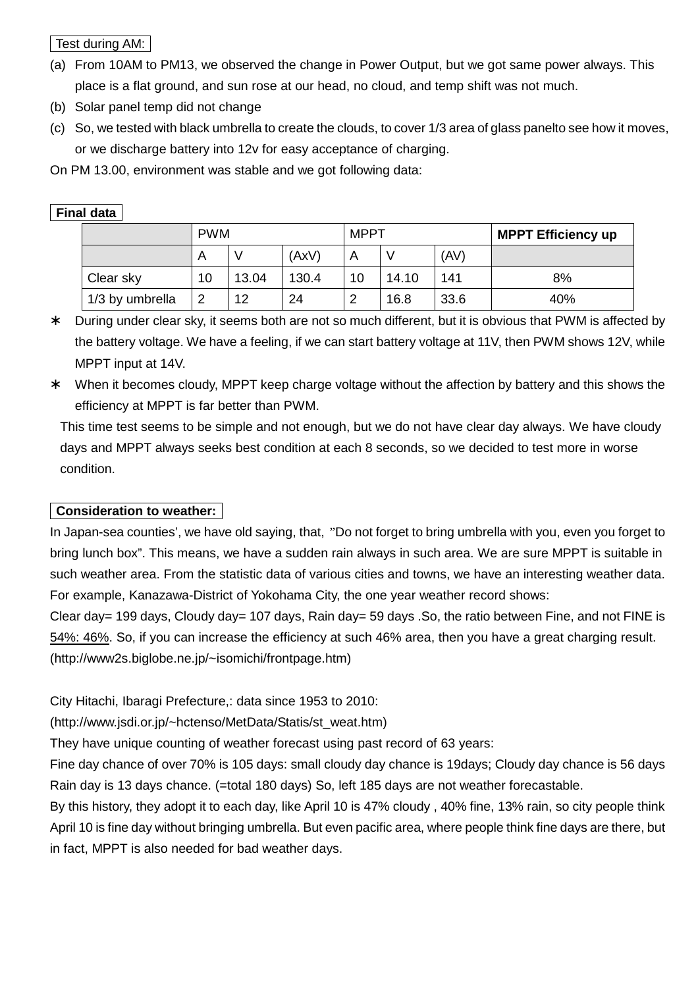Test during AM:

- (a) From 10AM to PM13, we observed the change in Power Output, but we got same power always. This place is a flat ground, and sun rose at our head, no cloud, and temp shift was not much.
- (b) Solar panel temp did not change
- (c) So, we tested with black umbrella to create the clouds, to cover 1/3 area of glass panelto see how it moves, or we discharge battery into 12v for easy acceptance of charging.

On PM 13.00, environment was stable and we got following data:

|                 | <b>PWM</b> |       |       | <b>MPPT</b> |       |      | <b>MPPT Efficiency up</b> |  |  |
|-----------------|------------|-------|-------|-------------|-------|------|---------------------------|--|--|
|                 | A          |       | (AxV) |             |       | (AV) |                           |  |  |
| Clear sky       | 10         | 13.04 | 130.4 | 10          | 14.10 | 141  | 8%                        |  |  |
| 1/3 by umbrella | 2          | 12    | 24    | റ           | 16.8  | 33.6 | 40%                       |  |  |

### **Final data**

- During under clear sky, it seems both are not so much different, but it is obvious that PWM is affected by the battery voltage. We have a feeling, if we can start battery voltage at 11V, then PWM shows 12V, while MPPT input at 14V.
- When it becomes cloudy, MPPT keep charge voltage without the affection by battery and this shows the efficiency at MPPT is far better than PWM.

This time test seems to be simple and not enough, but we do not have clear day always. We have cloudy days and MPPT always seeks best condition at each 8 seconds, so we decided to test more in worse condition.

## **Consideration to weather:**

In Japan-sea counties', we have old saying, that, "Do not forget to bring umbrella with you, even you forget to bring lunch box". This means, we have a sudden rain always in such area. We are sure MPPT is suitable in such weather area. From the statistic data of various cities and towns, we have an interesting weather data. For example, Kanazawa-District of Yokohama City, the one year weather record shows:

Clear day= 199 days, Cloudy day= 107 days, Rain day= 59 days .So, the ratio between Fine, and not FINE is 54%: 46%. So, if you can increase the efficiency at such 46% area, then you have a great charging result. (http://www2s.biglobe.ne.jp/~isomichi/frontpage.htm)

City Hitachi, Ibaragi Prefecture,: data since 1953 to 2010:

(http://www.jsdi.or.jp/~hctenso/MetData/Statis/st\_weat.htm)

They have unique counting of weather forecast using past record of 63 years:

Fine day chance of over 70% is 105 days: small cloudy day chance is 19days; Cloudy day chance is 56 days Rain day is 13 days chance. (=total 180 days) So, left 185 days are not weather forecastable.

By this history, they adopt it to each day, like April 10 is 47% cloudy , 40% fine, 13% rain, so city people think April 10 is fine day without bringing umbrella. But even pacific area, where people think fine days are there, but in fact, MPPT is also needed for bad weather days.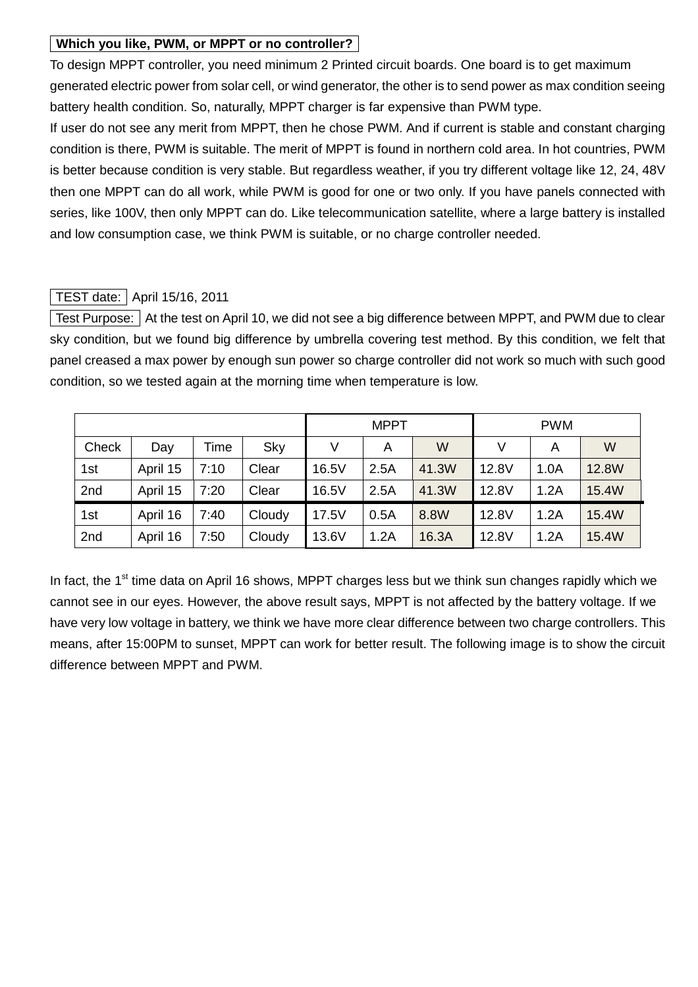#### **Which you like, PWM, or MPPT or no controller?**

To design MPPT controller, you need minimum 2 Printed circuit boards. One board is to get maximum generated electric power from solar cell, or wind generator, the other is to send power as max condition seeing battery health condition. So, naturally, MPPT charger is far expensive than PWM type.

If user do not see any merit from MPPT, then he chose PWM. And if current is stable and constant charging condition is there, PWM is suitable. The merit of MPPT is found in northern cold area. In hot countries, PWM is better because condition is very stable. But regardless weather, if you try different voltage like 12, 24, 48V then one MPPT can do all work, while PWM is good for one or two only. If you have panels connected with series, like 100V, then only MPPT can do. Like telecommunication satellite, where a large battery is installed and low consumption case, we think PWM is suitable, or no charge controller needed.

### TEST date: April 15/16, 2011

 Test Purpose: At the test on April 10, we did not see a big difference between MPPT, and PWM due to clear sky condition, but we found big difference by umbrella covering test method. By this condition, we felt that panel creased a max power by enough sun power so charge controller did not work so much with such good condition, so we tested again at the morning time when temperature is low.

|       |          |      |        |       | <b>MPPT</b> |       | <b>PWM</b> |      |       |  |
|-------|----------|------|--------|-------|-------------|-------|------------|------|-------|--|
| Check | Day      | Time | Sky    | V     | A           | W     | V          | Α    | W     |  |
| 1st   | April 15 | 7:10 | Clear  | 16.5V | 2.5A        | 41.3W | 12.8V      | 1.0A | 12.8W |  |
| 2nd   | April 15 | 7:20 | Clear  | 16.5V | 2.5A        | 41.3W | 12.8V      | 1.2A | 15.4W |  |
| 1st   | April 16 | 7:40 | Cloudy | 17.5V | 0.5A        | 8.8W  | 12.8V      | 1.2A | 15.4W |  |
| 2nd   | April 16 | 7:50 | Cloudy | 13.6V | 1.2A        | 16.3A | 12.8V      | 1.2A | 15.4W |  |

In fact, the  $1<sup>st</sup>$  time data on April 16 shows, MPPT charges less but we think sun changes rapidly which we cannot see in our eyes. However, the above result says, MPPT is not affected by the battery voltage. If we have very low voltage in battery, we think we have more clear difference between two charge controllers. This means, after 15:00PM to sunset, MPPT can work for better result. The following image is to show the circuit difference between MPPT and PWM.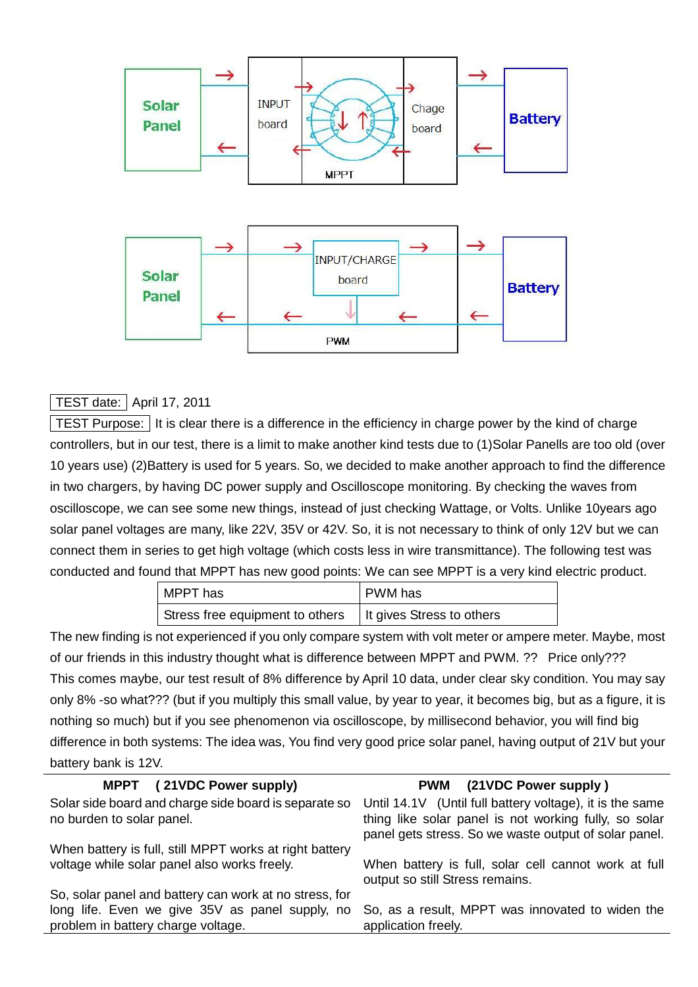

#### | TEST date: | April 17, 2011

TEST Purpose: It is clear there is a difference in the efficiency in charge power by the kind of charge controllers, but in our test, there is a limit to make another kind tests due to (1)Solar Panells are too old (over 10 years use) (2)Battery is used for 5 years. So, we decided to make another approach to find the difference in two chargers, by having DC power supply and Oscilloscope monitoring. By checking the waves from oscilloscope, we can see some new things, instead of just checking Wattage, or Volts. Unlike 10years ago solar panel voltages are many, like 22V, 35V or 42V. So, it is not necessary to think of only 12V but we can connect them in series to get high voltage (which costs less in wire transmittance). The following test was conducted and found that MPPT has new good points: We can see MPPT is a very kind electric product.

| MPPT has                                                    | PWM has |
|-------------------------------------------------------------|---------|
| Stress free equipment to others   It gives Stress to others |         |

The new finding is not experienced if you only compare system with volt meter or ampere meter. Maybe, most of our friends in this industry thought what is difference between MPPT and PWM. ?? Price only??? This comes maybe, our test result of 8% difference by April 10 data, under clear sky condition. You may say only 8% -so what??? (but if you multiply this small value, by year to year, it becomes big, but as a figure, it is nothing so much) but if you see phenomenon via oscilloscope, by millisecond behavior, you will find big difference in both systems: The idea was, You find very good price solar panel, having output of 21V but your battery bank is 12V.

| MPPT (21VDC Power supply)                                                                                                                       | PWM (21VDC Power supply)                                                                                                                                                   |
|-------------------------------------------------------------------------------------------------------------------------------------------------|----------------------------------------------------------------------------------------------------------------------------------------------------------------------------|
| Solar side board and charge side board is separate so<br>no burden to solar panel.                                                              | Until 14.1V (Until full battery voltage), it is the same<br>thing like solar panel is not working fully, so solar<br>panel gets stress. So we waste output of solar panel. |
| When battery is full, still MPPT works at right battery<br>voltage while solar panel also works freely.                                         | When battery is full, solar cell cannot work at full<br>output so still Stress remains.                                                                                    |
| So, solar panel and battery can work at no stress, for<br>long life. Even we give 35V as panel supply, no<br>problem in battery charge voltage. | So, as a result, MPPT was innovated to widen the<br>application freely.                                                                                                    |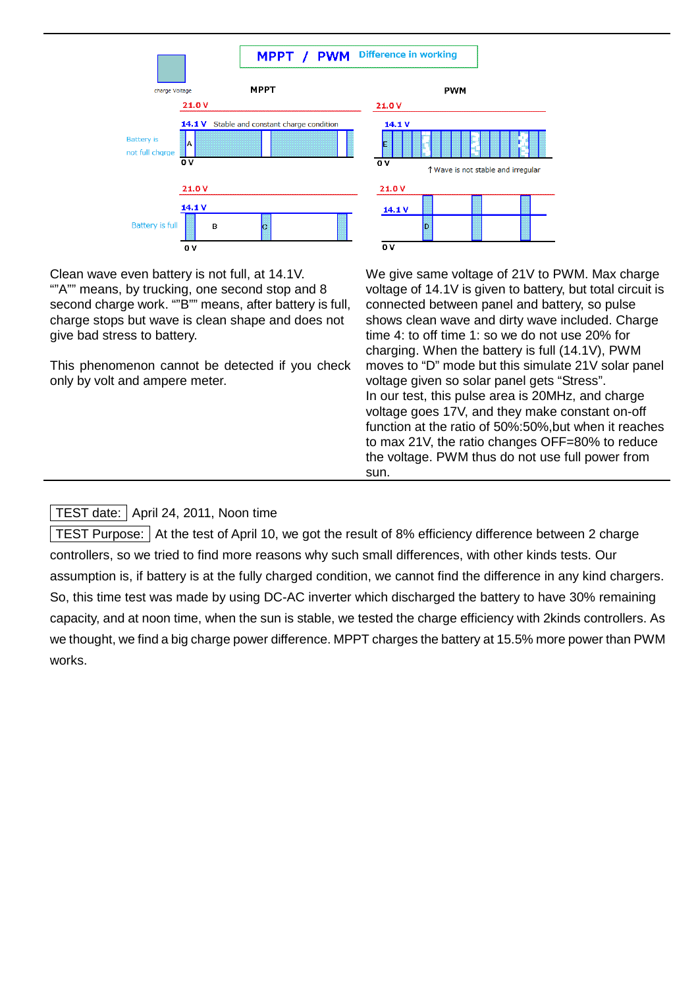

Clean wave even battery is not full, at 14.1V. ""A"" means, by trucking, one second stop and 8 second charge work. ""B"" means, after battery is full, charge stops but wave is clean shape and does not give bad stress to battery.

This phenomenon cannot be detected if you check only by volt and ampere meter.

We give same voltage of 21V to PWM. Max charge voltage of 14.1V is given to battery, but total circuit is connected between panel and battery, so pulse shows clean wave and dirty wave included. Charge time 4: to off time 1: so we do not use 20% for charging. When the battery is full (14.1V), PWM moves to "D" mode but this simulate 21V solar panel voltage given so solar panel gets "Stress". In our test, this pulse area is 20MHz, and charge voltage goes 17V, and they make constant on-off function at the ratio of 50%:50%,but when it reaches to max 21V, the ratio changes OFF=80% to reduce the voltage. PWM thus do not use full power from sun.

### TEST date: | April 24, 2011, Noon time

TEST Purpose: At the test of April 10, we got the result of 8% efficiency difference between 2 charge controllers, so we tried to find more reasons why such small differences, with other kinds tests. Our assumption is, if battery is at the fully charged condition, we cannot find the difference in any kind chargers. So, this time test was made by using DC-AC inverter which discharged the battery to have 30% remaining capacity, and at noon time, when the sun is stable, we tested the charge efficiency with 2kinds controllers. As we thought, we find a big charge power difference. MPPT charges the battery at 15.5% more power than PWM works.